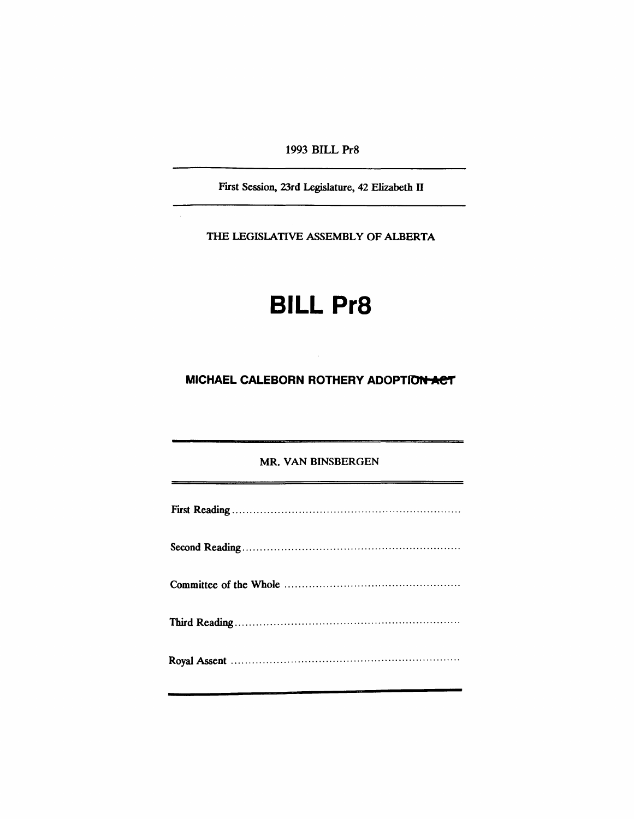1993 BILL Pr8

First Session, 23rd Legislature, 42 Elizabeth IT

THE LEGISlATIVE ASSEMBLY OF ALBERTA

## **BILL Pr8**

**MICHAEL CALEBORN ROTHERY ADOPTION ACT** 

MR. VAN BINSBERGEN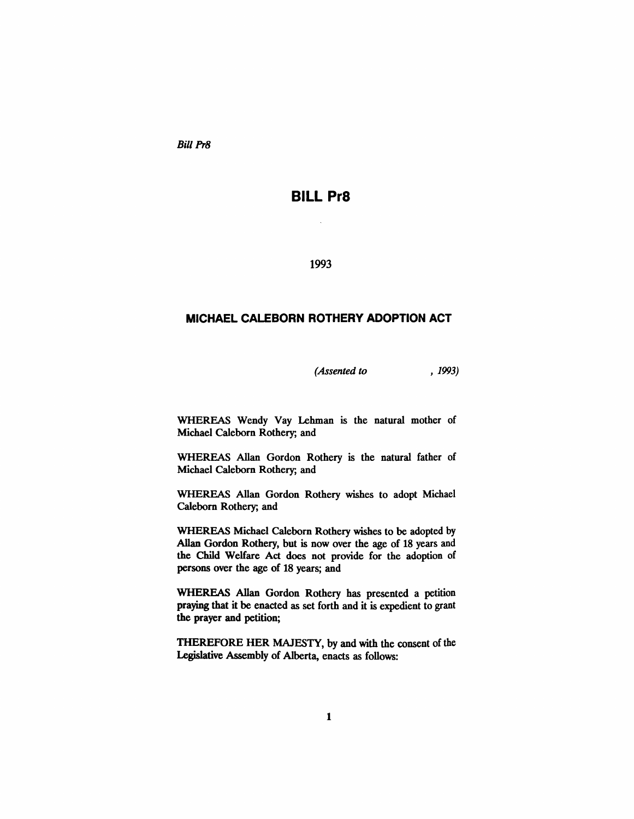Bill Pr8

## **BILL Pr8**

1993

## **MICHAEL CALEBORN ROTHERY ADOPTION ACT**

*(Assented to* , 1993)

WHEREAS Wendy Yay Lehman is the natural mother of Michael Calebom Rothery; and

WHEREAS Allan Gordon Rothery is the natural father of Michael Calebom Rothery; and

WHEREAS Allan Gordon Rothery wishes to adopt Michael Calebom Rothery; and

WHEREAS Michael Calebom Rothery wishes to be adopted by Allan Gordon Rothery, but is now over the age of 18 years and the Child Welfare Act does not provide for the adoption of persons over the age of 18 years; and

WHEREAS Allan Gordon Rothery has presented a petition praying that it be enacted as set forth and it is expedient to grant the prayer and petition;

THEREFORE HER MAJESTY, by and with the consent of the Legislative Assembly of Alberta, enacts as follows: